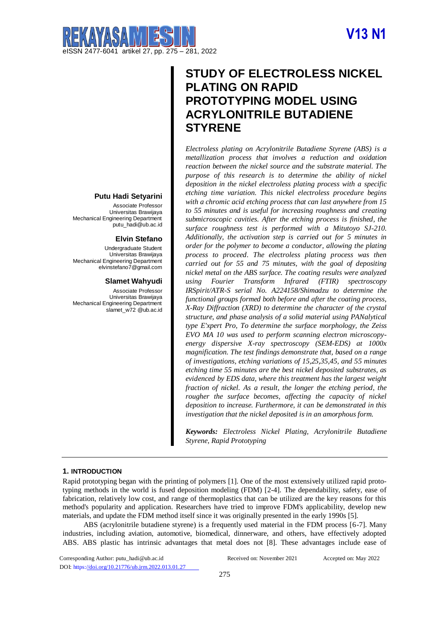# **V13 N1**



# **Putu Hadi Setyarini**

Associate Professor Universitas Brawijaya Mechanical Engineering Department putu\_hadi@ub.ac.id

#### **Elvin Stefano**

Undergraduate Student Universitas Brawijaya Mechanical Engineering Department elvinstefano7@gmail.com

#### **Slamet Wahyudi**

Associate Professor Universitas Brawijaya Mechanical Engineering Department slamet\_w72 @ub.ac.id

# **STUDY OF ELECTROLESS NICKEL PLATING ON RAPID PROTOTYPING MODEL USING ACRYLONITRILE BUTADIENE STYRENE**

*Electroless plating on Acrylonitrile Butadiene Styrene (ABS) is a metallization process that involves a reduction and oxidation reaction between the nickel source and the substrate material. The purpose of this research is to determine the ability of nickel deposition in the nickel electroless plating process with a specific etching time variation. This nickel electroless procedure begins with a chromic acid etching process that can last anywhere from 15 to 55 minutes and is useful for increasing roughness and creating submicroscopic cavities. After the etching process is finished, the surface roughness test is performed with a Mitutoyo SJ-210. Additionally, the activation step is carried out for 5 minutes in order for the polymer to become a conductor, allowing the plating process to proceed. The electroless plating process was then carried out for 55 and 75 minutes, with the goal of depositing nickel metal on the ABS surface. The coating results were analyzed using Fourier Transform Infrared (FTIR) spectroscopy IRSpirit/ATR-S serial No. A224158/Shimadzu to determine the functional groups formed both before and after the coating process, X-Ray Diffraction (XRD) to determine the character of the crystal structure, and phase analysis of a solid material using PANalytical type E'xpert Pro, To determine the surface morphology, the Zeiss EVO MA 10 was used to perform scanning electron microscopyenergy dispersive X-ray spectroscopy (SEM-EDS) at 1000x magnification. The test findings demonstrate that, based on a range of investigations, etching variations of 15,25,35,45, and 55 minutes etching time 55 minutes are the best nickel deposited substrates, as evidenced by EDS data, where this treatment has the largest weight fraction of nickel. As a result, the longer the etching period, the rougher the surface becomes, affecting the capacity of nickel deposition to increase. Furthermore, it can be demonstrated in this investigation that the nickel deposited is in an amorphous form.*

*Keywords: Electroless Nickel Plating, Acrylonitrile Butadiene Styrene, Rapid Prototyping*

# **1. INTRODUCTION**

Rapid prototyping began with the printing of polymers [1]. One of the most extensively utilized rapid prototyping methods in the world is fused deposition modeling (FDM) [2-4]. The dependability, safety, ease of fabrication, relatively low cost, and range of thermoplastics that can be utilized are the key reasons for this method's popularity and application. Researchers have tried to improve FDM's applicability, develop new materials, and update the FDM method itself since it was originally presented in the early 1990s [5].

ABS (acrylonitrile butadiene styrene) is a frequently used material in the FDM process [6-7]. Many industries, including aviation, automotive, biomedical, dinnerware, and others, have effectively adopted ABS. ABS plastic has intrinsic advantages that metal does not [8]. These advantages include ease of

Corresponding Author: putu\_hadi@ub.ac.id DOI: https[://doi.org/10.21776/ub.jrm.2022.013.01.27](https://doi.org/10.21776/ub.jrm.2022.013.01.27)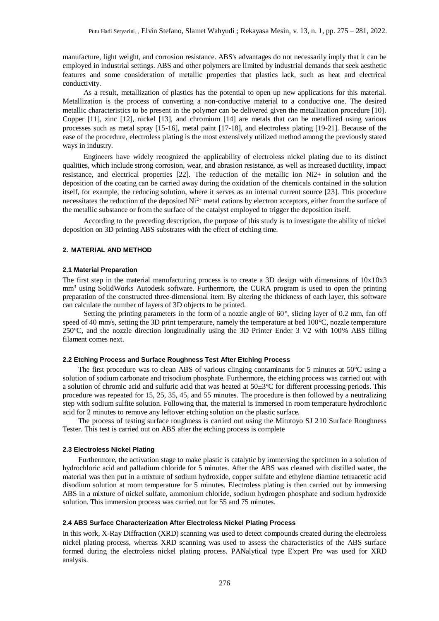manufacture, light weight, and corrosion resistance. ABS's advantages do not necessarily imply that it can be employed in industrial settings. ABS and other polymers are limited by industrial demands that seek aesthetic features and some consideration of metallic properties that plastics lack, such as heat and electrical conductivity.

As a result, metallization of plastics has the potential to open up new applications for this material. Metallization is the process of converting a non-conductive material to a conductive one. The desired metallic characteristics to be present in the polymer can be delivered given the metallization procedure [10]. Copper [11], zinc [12], nickel [13], and chromium [14] are metals that can be metallized using various processes such as metal spray [15-16], metal paint [17-18], and electroless plating [19-21]. Because of the ease of the procedure, electroless plating is the most extensively utilized method among the previously stated ways in industry.

Engineers have widely recognized the applicability of electroless nickel plating due to its distinct qualities, which include strong corrosion, wear, and abrasion resistance, as well as increased ductility, impact resistance, and electrical properties [22]. The reduction of the metallic ion Ni2+ in solution and the deposition of the coating can be carried away during the oxidation of the chemicals contained in the solution itself, for example, the reducing solution, where it serves as an internal current source [23]. This procedure necessitates the reduction of the deposited  $Ni<sup>2+</sup>$  metal cations by electron acceptors, either from the surface of the metallic substance or from the surface of the catalyst employed to trigger the deposition itself.

According to the preceding description, the purpose of this study is to investigate the ability of nickel deposition on 3D printing ABS substrates with the effect of etching time.

# **2. MATERIAL AND METHOD**

#### **2.1 Material Preparation**

The first step in the material manufacturing process is to create a 3D design with dimensions of  $10x10x3$ mm<sup>3</sup> using SolidWorks Autodesk software. Furthermore, the CURA program is used to open the printing preparation of the constructed three-dimensional item. By altering the thickness of each layer, this software can calculate the number of layers of 3D objects to be printed.

Setting the printing parameters in the form of a nozzle angle of  $60^\circ$ , slicing layer of 0.2 mm, fan off speed of 40 mm/s, setting the 3D print temperature, namely the temperature at bed 100<sup>o</sup>C, nozzle temperature 250°C, and the nozzle direction longitudinally using the 3D Printer Ender 3 V2 with 100% ABS filling filament comes next.

#### **2.2 Etching Process and Surface Roughness Test After Etching Process**

The first procedure was to clean ABS of various clinging contaminants for 5 minutes at 50°C using a solution of sodium carbonate and trisodium phosphate. Furthermore, the etching process was carried out with a solution of chromic acid and sulfuric acid that was heated at 50±3°C for different processing periods. This procedure was repeated for 15, 25, 35, 45, and 55 minutes. The procedure is then followed by a neutralizing step with sodium sulfite solution. Following that, the material is immersed in room temperature hydrochloric acid for 2 minutes to remove any leftover etching solution on the plastic surface.

The process of testing surface roughness is carried out using the Mitutoyo SJ 210 Surface Roughness Tester. This test is carried out on ABS after the etching process is complete

#### **2.3 Electroless Nickel Plating**

Furthermore, the activation stage to make plastic is catalytic by immersing the specimen in a solution of hydrochloric acid and palladium chloride for 5 minutes. After the ABS was cleaned with distilled water, the material was then put in a mixture of sodium hydroxide, copper sulfate and ethylene diamine tetraacetic acid disodium solution at room temperature for 5 minutes. Electroless plating is then carried out by immersing ABS in a mixture of nickel sulfate, ammonium chloride, sodium hydrogen phosphate and sodium hydroxide solution. This immersion process was carried out for 55 and 75 minutes.

#### **2.4 ABS Surface Characterization After Electroless Nickel Plating Process**

In this work, X-Ray Diffraction (XRD) scanning was used to detect compounds created during the electroless nickel plating process, whereas XRD scanning was used to assess the characteristics of the ABS surface formed during the electroless nickel plating process. PANalytical type E'xpert Pro was used for XRD analysis.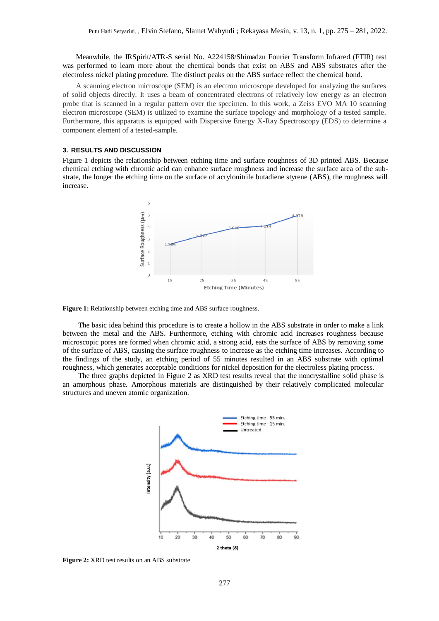Meanwhile, the IRSpirit/ATR-S serial No. A224158/Shimadzu Fourier Transform Infrared (FTIR) test was performed to learn more about the chemical bonds that exist on ABS and ABS substrates after the electroless nickel plating procedure. The distinct peaks on the ABS surface reflect the chemical bond.

A scanning electron microscope (SEM) is an electron microscope developed for analyzing the surfaces of solid objects directly. It uses a beam of concentrated electrons of relatively low energy as an electron probe that is scanned in a regular pattern over the specimen. In this work, a Zeiss EVO MA 10 scanning electron microscope (SEM) is utilized to examine the surface topology and morphology of a tested sample. Furthermore, this apparatus is equipped with Dispersive Energy X-Ray Spectroscopy (EDS) to determine a component element of a tested-sample.

### **3. RESULTS AND DISCUSSION**

Figure 1 depicts the relationship between etching time and surface roughness of 3D printed ABS. Because chemical etching with chromic acid can enhance surface roughness and increase the surface area of the substrate, the longer the etching time on the surface of acrylonitrile butadiene styrene (ABS), the roughness will increase.



**Figure 1:** Relationship between etching time and ABS surface roughness.

The basic idea behind this procedure is to create a hollow in the ABS substrate in order to make a link between the metal and the ABS. Furthermore, etching with chromic acid increases roughness because microscopic pores are formed when chromic acid, a strong acid, eats the surface of ABS by removing some of the surface of ABS, causing the surface roughness to increase as the etching time increases. According to the findings of the study, an etching period of 55 minutes resulted in an ABS substrate with optimal roughness, which generates acceptable conditions for nickel deposition for the electroless plating process.

The three graphs depicted in Figure 2 as XRD test results reveal that the noncrystalline solid phase is an amorphous phase. Amorphous materials are distinguished by their relatively complicated molecular structures and uneven atomic organization.



**Figure 2:** XRD test results on an ABS substrate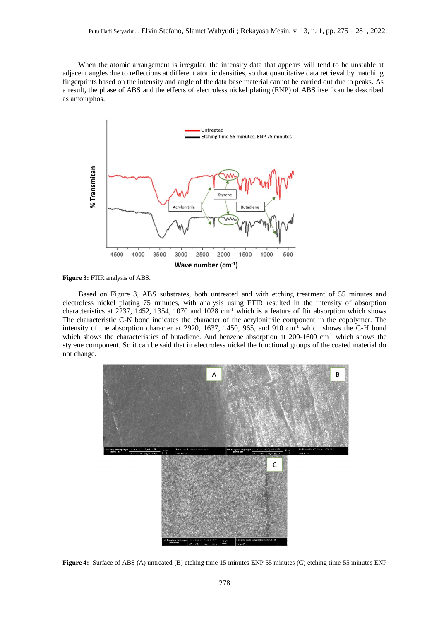When the atomic arrangement is irregular, the intensity data that appears will tend to be unstable at adjacent angles due to reflections at different atomic densities, so that quantitative data retrieval by matching fingerprints based on the intensity and angle of the data base material cannot be carried out due to peaks. As a result, the phase of ABS and the effects of electroless nickel plating (ENP) of ABS itself can be described as amourphos.



**Figure 3:** FTIR analysis of ABS.

Based on Figure 3, ABS substrates, both untreated and with etching treatment of 55 minutes and electroless nickel plating 75 minutes, with analysis using FTIR resulted in the intensity of absorption characteristics at 2237, 1452, 1354, 1070 and 1028 cm<sup>-1</sup> which is a feature of ftir absorption which shows The characteristic C-N bond indicates the character of the acrylonitrile component in the copolymer. The intensity of the absorption character at 2920, 1637, 1450, 965, and 910 cm<sup>-1</sup> which shows the C-H bond which shows the characteristics of butadiene. And benzene absorption at 200-1600 cm<sup>-1</sup> which shows the styrene component. So it can be said that in electroless nickel the functional groups of the coated material do not change.



**Figure 4:** Surface of ABS (A) untreated (B) etching time 15 minutes ENP 55 minutes (C) etching time 55 minutes ENP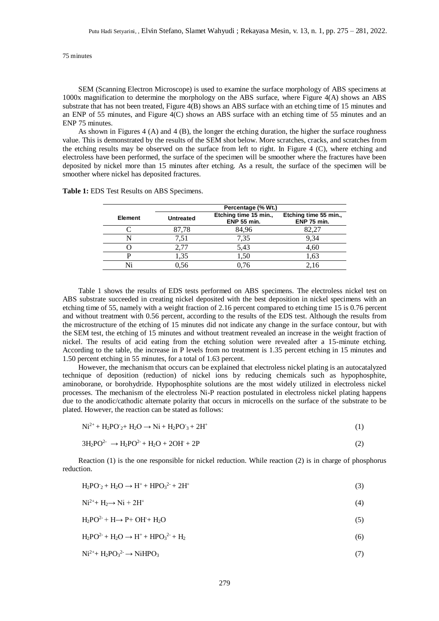75 minutes

SEM (Scanning Electron Microscope) is used to examine the surface morphology of ABS specimens at 1000x magnification to determine the morphology on the ABS surface, where Figure 4(A) shows an ABS substrate that has not been treated, Figure 4(B) shows an ABS surface with an etching time of 15 minutes and an ENP of 55 minutes, and Figure 4(C) shows an ABS surface with an etching time of 55 minutes and an ENP 75 minutes.

As shown in Figures 4 (A) and 4 (B), the longer the etching duration, the higher the surface roughness value. This is demonstrated by the results of the SEM shot below. More scratches, cracks, and scratches from the etching results may be observed on the surface from left to right. In Figure 4 (C), where etching and electroless have been performed, the surface of the specimen will be smoother where the fractures have been deposited by nickel more than 15 minutes after etching. As a result, the surface of the specimen will be smoother where nickel has deposited fractures.

| <b>Table 1: EDS Test Results on ABS Specimens.</b> |  |  |  |
|----------------------------------------------------|--|--|--|
|----------------------------------------------------|--|--|--|

|                | Percentage (% Wt.) |                                             |                                             |  |
|----------------|--------------------|---------------------------------------------|---------------------------------------------|--|
| <b>Element</b> | <b>Untreated</b>   | Etching time 15 min.,<br><b>ENP 55 min.</b> | Etching time 55 min.,<br><b>ENP 75 min.</b> |  |
|                | 87,78              | 84,96                                       | 82.27                                       |  |
|                | 7,51               | 7,35                                        | 9,34                                        |  |
|                | 2,77               | 5,43                                        | 4,60                                        |  |
|                | 1.35               | 1.50                                        | 1.63                                        |  |
|                | 0.56               | 0.76                                        | 2.16                                        |  |

Table 1 shows the results of EDS tests performed on ABS specimens. The electroless nickel test on ABS substrate succeeded in creating nickel deposited with the best deposition in nickel specimens with an etching time of 55, namely with a weight fraction of 2.16 percent compared to etching time 15 is 0.76 percent and without treatment with 0.56 percent, according to the results of the EDS test. Although the results from the microstructure of the etching of 15 minutes did not indicate any change in the surface contour, but with the SEM test, the etching of 15 minutes and without treatment revealed an increase in the weight fraction of nickel. The results of acid eating from the etching solution were revealed after a 15-minute etching. According to the table, the increase in P levels from no treatment is 1.35 percent etching in 15 minutes and 1.50 percent etching in 55 minutes, for a total of 1.63 percent.

However, the mechanism that occurs can be explained that electroless nickel plating is an autocatalyzed technique of deposition (reduction) of nickel ions by reducing chemicals such as hypophosphite, aminoborane, or borohydride. Hypophosphite solutions are the most widely utilized in electroless nickel processes. The mechanism of the electroless Ni-P reaction postulated in electroless nickel plating happens due to the anodic/cathodic alternate polarity that occurs in microcells on the surface of the substrate to be plated. However, the reaction can be stated as follows:

$$
Ni^{2+} + H_2PO_2 + H_2O \rightarrow Ni + H_2PO_3 + 2H^+ \tag{1}
$$

$$
3H_2PO^{2-} \rightarrow H_2PO^{2-} + H_2O + 2OH + 2P \tag{2}
$$

Reaction (1) is the one responsible for nickel reduction. While reaction (2) is in charge of phosphorus reduction.

| $H_2PO_2 + H_2O \rightarrow H^+ + HPO_3^{2-} + 2H^+$ |  |  |
|------------------------------------------------------|--|--|
|------------------------------------------------------|--|--|

$$
\mathrm{Ni^{2+}} + \mathrm{H_2} \rightarrow \mathrm{Ni} + 2\mathrm{H^+} \tag{4}
$$

$$
H_2PO^{2-} + H \rightarrow P + OH + H_2O
$$
\n<sup>(5)</sup>

 $H_2PO^{2-} + H_2O \rightarrow H^+ + HPO_3^{2-} + H_2$  $2^2 + H_2$  (6)

$$
\mathrm{Ni^{2+} + H_2PO_3}^{2-} \rightarrow \mathrm{NiHPO_3} \tag{7}
$$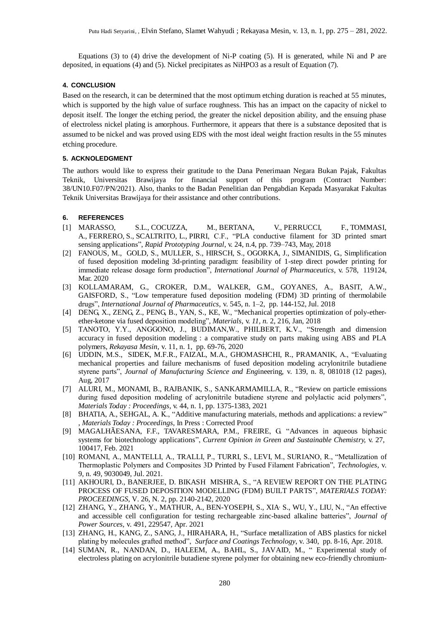Equations (3) to (4) drive the development of Ni-P coating (5). H is generated, while Ni and P are deposited, in equations (4) and (5). Nickel precipitates as NiHPO3 as a result of Equation (7).

# **4. CONCLUSION**

Based on the research, it can be determined that the most optimum etching duration is reached at 55 minutes, which is supported by the high value of surface roughness. This has an impact on the capacity of nickel to deposit itself. The longer the etching period, the greater the nickel deposition ability, and the ensuing phase of electroless nickel plating is amorphous. Furthermore, it appears that there is a substance deposited that is assumed to be nickel and was proved using EDS with the most ideal weight fraction results in the 55 minutes etching procedure.

# **5. ACKNOLEDGMENT**

The authors would like to express their gratitude to the Dana Penerimaan Negara Bukan Pajak, Fakultas Teknik, Universitas Brawijaya for financial support of this program (Contract Number: 38/UN10.F07/PN/2021). Also, thanks to the Badan Penelitian dan Pengabdian Kepada Masyarakat Fakultas Teknik Universitas Brawijaya for their assistance and other contributions.

# **6. REFERENCES**

- [1] [MARASSO, S.L.,](https://www.emerald.com/insight/search?q=Simone%20Luigi%20Marasso) [COCUZZA, M.,](https://www.emerald.com/insight/search?q=Simone%20Luigi%20Marasso) [BERTANA, V.,](https://www.emerald.com/insight/search?q=Valentina%20Bertana) [PERRUCCI, F.,](https://www.emerald.com/insight/search?q=Valentina%20Bertana) [TOMMASI,](https://www.emerald.com/insight/search?q=Alessio%20Tommasi)  [A.,](https://www.emerald.com/insight/search?q=Alessio%20Tommasi) [FERRERO,](https://www.emerald.com/insight/search?q=Sergio%20Ferrero) S., [SCALTRITO,](https://www.emerald.com/insight/search?q=Sergio%20Ferrero) L., [PIRRI,](https://www.emerald.com/insight/search?q=Candido%20Fabrizio%20Pirri) C.F., "PLA conductive filament for 3D printed smart sensing applications", *Rapid Prototyping Journal*, v. 24, n.4, pp. 739–743, May, 2018
- [2] [FANOUS,](https://www.sciencedirect.com/science/article/pii/S0378517320301083?casa_token=SFCbEgdFRKMAAAAA:GAUMbBMQeF8KIPBeUHClp6dvZMxbqGk2iGqe6Z3wUoTMAnTxkbWxPdmi84zxic4NpuN9xBWkYg#!) M., [GOLD, S.,](https://www.sciencedirect.com/science/article/pii/S0378517320301083?casa_token=SFCbEgdFRKMAAAAA:GAUMbBMQeF8KIPBeUHClp6dvZMxbqGk2iGqe6Z3wUoTMAnTxkbWxPdmi84zxic4NpuN9xBWkYg#!) [MULLER, S., HIRSCH, S., OGORKA, J., SIMANIDIS,](https://www.sciencedirect.com/science/article/pii/S0378517320301083?casa_token=SFCbEgdFRKMAAAAA:GAUMbBMQeF8KIPBeUHClp6dvZMxbqGk2iGqe6Z3wUoTMAnTxkbWxPdmi84zxic4NpuN9xBWkYg#!) G., Simplification of fused deposition modeling 3d-printing paradigm: feasibility of 1-step direct powder printing for immediate release dosage form production", *[International Journal of Pharmaceutics](https://www.sciencedirect.com/science/journal/03785173)*, v. [578,](https://www.sciencedirect.com/science/journal/03785173/578/supp/C) 119124, Mar. 2020
- [3] [KOLLAMARAM, G., CROKER, D.M., WALKER, G.M., GOYANES, A.,](https://www.sciencedirect.com/science/article/pii/S0378517318302825?casa_token=r6tytkvkVzkAAAAA:Ch0U60wDItf5yEZae6laVKTYyp5Fg5rGwpw8k_yCVbUdvgL85eNkgTyYQSusPyw5SLO_gd9lKg#!) [BASIT, A.W.,](https://www.sciencedirect.com/science/article/pii/S0378517318302825?casa_token=r6tytkvkVzkAAAAA:Ch0U60wDItf5yEZae6laVKTYyp5Fg5rGwpw8k_yCVbUdvgL85eNkgTyYQSusPyw5SLO_gd9lKg#!)  [GAISFORD,](https://www.sciencedirect.com/author/6602683597/simon-gaisford) S., "Low temperature fused deposition modeling (FDM) 3D printing of thermolabile drugs", *[International Journal of Pharmaceutics](https://www.sciencedirect.com/science/journal/03785173)*, [v. 545, n. 1–2,](https://www.sciencedirect.com/science/journal/03785173/545/1) pp. 144-152, Jul. 2018
- [4] [DENG,](https://sciprofiles.com/profile/254838) X., [ZENG,](https://sciprofiles.com/profile/184499) Z., [PENG,](https://sciprofiles.com/profile/author/SE9VWHJtek9rams1U28wMXIramJKaHB5ZUhTVjQxRjJDZGVTSENoZWhSVT0=) B., [YAN,](https://sciprofiles.com/profile/author/WE4yUjFqQnNPbkJHNVFiSjhhYTlETXZPVmU2SDRNcENIUkRhWXlseXhYYz0=) S., [KE,](https://sciprofiles.com/profile/author/ZWFubWdhdjRPQ1V3eGdLaVhTTksrM2MzaGFsazljdGRYUk1sdWUwTWpCdz0=) W., "Mechanical properties optimization of poly-etherether-ketone via fused deposition modeling", *Materials,* v. *11, n.* 2, 216, Jan, 2018
- [5] TANOTO, Y.Y., ANGGONO, J., BUDIMAN,W., PHILBERT, K.V., "Strength and dimension accuracy in fused deposition modeling : a comparative study on parts making using ABS and PLA polymers, *Rekayasa Mesin*, [v. 11, n. 1,](https://rekayasamesin.ub.ac.id/index.php/rm/issue/view/45) pp. 69-76, 2020
- [6] [UDDIN,](javascript:;) M.S., [SIDEK,](javascript:;) M.F.R., [FAIZAL,](javascript:;) M.A., [GHOMASHCHI,](javascript:;) R., [PRAMANIK,](javascript:;) A., "Evaluating mechanical properties and failure mechanisms of fused deposition modeling acrylonitrile butadiene styrene parts", *Journal of Manufacturing Science and Eng*ineering, v. 139, n. 8, 081018 (12 pages), Aug, 2017
- [7] [ALURI, M., MONAMI, B., RAJBANIK, S., SANKARMAMILLA,](https://www.sciencedirect.com/science/article/pii/S2214785320391902?casa_token=zHiPdAAMr_4AAAAA:f6rhiWBEKMnj30UgSaguDw-D6oRGc2S2Q3CP396NVNm4F2BQdVD8wMchG094fgbugFyRmNry4A#!) R., "Review on particle emissions during fused deposition modeling of acrylonitrile butadiene styrene and polylactic acid polymers", *Materials Today : Proceedings*[, v. 44, n. 1,](https://www.sciencedirect.com/science/journal/22147853/44/part/P1) pp. 1375-1383, 2021
- [8] [BHATIA, A., SEHGAL,](https://www.sciencedirect.com/science/article/pii/S2214785321032995?casa_token=eC2a88vlFuYAAAAA:0nfk01ztk8FLgJhKNqRXaUvuNtq8dNEu0zUwezPAOu4V0Y2xYSlqm7KHhxYdd52jWC-0hKlCVg#!) A. K., "Additive manufacturing materials, methods and applications: a review" , *Materials Today : Proceedings,* In Press : Corrected Proof
- [9] [MAGALHÃESANA, F.F., TAVARES](https://www.sciencedirect.com/science/article/pii/S2452223620301140?casa_token=X2KJiUyaD6IAAAAA:3p-dRnVGlDi_AMOBsgYSXGUy4jC-Paof27UYkNxn2BhaDocUjGERl4MpyeEB-qQ6TyuovfLrrg#!)[MARA, P.M., FREIRE,](https://www.sciencedirect.com/author/57200173922/mara-g-freire) G. "Advances in aqueous biphasic systems for biotechnology applications", *[Current Opinion in Green and Sustainable Chemistry,](https://www.sciencedirect.com/science/journal/24522236)* [v. 27,](https://www.sciencedirect.com/science/journal/24522236/27/supp/C) 100417, Feb. 2021
- [10] ROMANI, A., MANTELLI, A., TRALLI, P., TURRI, S., LEVI, M., SURIANO, R., "Metallization of Thermoplastic Polymers and Composites 3D Printed by Fused Filament Fabrication", *Technologies*, v. 9, n. 49[, 9030049,](https://www.mdpi.com/2227-7080/9/3/49/htm) Jul. 2021.
- [11] [AKHOURI,](https://www.sciencedirect.com/science/article/pii/S2214785320312165#!) D., [BANERJEE,](https://www.sciencedirect.com/science/article/pii/S2214785320312165#!) D. [BIKASH MISHRA,](https://www.sciencedirect.com/science/article/pii/S2214785320312165#!) S., "A REVIEW REPORT ON THE PLATING PROCESS OF FUSED DEPOSITION MODELLING (FDM) BUILT PARTS", *MATERIALS TODAY: PROCEEDINGS*, V. [26, N. 2,](https://www.sciencedirect.com/science/journal/22147853/26/part/P2) pp. 2140-2142, 2020
- [12] [ZHANG, Y., ZHANG,](https://www.sciencedirect.com/science/article/pii/S037877532100094X?casa_token=3CQhVMl4nUgAAAAA:M1H7mr2IZ0pKekdSubgJLLQu_vypzmKn54RTwAR6ygYJdsAa2Y5nu0gtM-bCJylAms2l-5D8fw#!) Y., [MATHUR, A.,](https://www.sciencedirect.com/science/article/pii/S037877532100094X?casa_token=3CQhVMl4nUgAAAAA:M1H7mr2IZ0pKekdSubgJLLQu_vypzmKn54RTwAR6ygYJdsAa2Y5nu0gtM-bCJylAms2l-5D8fw#!) [BEN-YOSEPH, S., XIA](https://www.sciencedirect.com/science/article/pii/S037877532100094X?casa_token=3CQhVMl4nUgAAAAA:M1H7mr2IZ0pKekdSubgJLLQu_vypzmKn54RTwAR6ygYJdsAa2Y5nu0gtM-bCJylAms2l-5D8fw#!)<sup>,</sup> S.[, WU, Y., LIU,](https://www.sciencedirect.com/science/article/pii/S037877532100094X?casa_token=3CQhVMl4nUgAAAAA:M1H7mr2IZ0pKekdSubgJLLQu_vypzmKn54RTwAR6ygYJdsAa2Y5nu0gtM-bCJylAms2l-5D8fw#!) N., "An effective and accessible cell configuration for testing rechargeable zinc-based alkaline batteries", *[Journal of](https://www.sciencedirect.com/science/journal/03787753)  [Power Sources](https://www.sciencedirect.com/science/journal/03787753)*, [v. 491,](https://www.sciencedirect.com/science/journal/03787753/491/supp/C) 229547, Apr. 2021
- [13] [ZHANG,](https://www.sciencedirect.com/science/article/pii/S0257897218301087?casa_token=vTHTMsn_tSgAAAAA:eArD_0RLtF2bihZC7vfJ_4N-XXjodlGVuWbgXSWqjsnimjVbOCYJbJ8UXLjJ3qA08fPC0bqjNg#!) H., [KANG,](https://www.sciencedirect.com/science/article/pii/S0257897218301087?casa_token=vTHTMsn_tSgAAAAA:eArD_0RLtF2bihZC7vfJ_4N-XXjodlGVuWbgXSWqjsnimjVbOCYJbJ8UXLjJ3qA08fPC0bqjNg#!) Z., [SANG,](https://www.sciencedirect.com/science/article/pii/S0257897218301087?casa_token=vTHTMsn_tSgAAAAA:eArD_0RLtF2bihZC7vfJ_4N-XXjodlGVuWbgXSWqjsnimjVbOCYJbJ8UXLjJ3qA08fPC0bqjNg#!) J., [HIRAHARA,](https://www.sciencedirect.com/science/article/pii/S0257897218301087?casa_token=vTHTMsn_tSgAAAAA:eArD_0RLtF2bihZC7vfJ_4N-XXjodlGVuWbgXSWqjsnimjVbOCYJbJ8UXLjJ3qA08fPC0bqjNg#!) H., "Surface metallization of ABS plastics for nickel plating by molecules grafted method", *[Surface and Coatings Technology](https://www.sciencedirect.com/science/journal/02578972)*[, v. 340,](https://www.sciencedirect.com/science/journal/02578972/340/supp/C) pp. 8-16, Apr. 2018.
- [14] [SUMAN,](https://www.sciencedirect.com/science/article/pii/S2214785320334970?casa_token=vM9Iq076ZpgAAAAA:1s81aml8H92iFhOfg7MZUMxdPtmqZoKHpT-ToQWJzMD-W6th9EIJg1WNBIMXxGqIrqD8EnMmJA#!) R., [NANDAN,](https://www.sciencedirect.com/science/article/pii/S2214785320334970?casa_token=vM9Iq076ZpgAAAAA:1s81aml8H92iFhOfg7MZUMxdPtmqZoKHpT-ToQWJzMD-W6th9EIJg1WNBIMXxGqIrqD8EnMmJA#!) D., [HALEEM,](https://www.sciencedirect.com/science/article/pii/S2214785320334970?casa_token=vM9Iq076ZpgAAAAA:1s81aml8H92iFhOfg7MZUMxdPtmqZoKHpT-ToQWJzMD-W6th9EIJg1WNBIMXxGqIrqD8EnMmJA#!) A., [BAHL,](https://www.sciencedirect.com/science/article/pii/S2214785320334970?casa_token=vM9Iq076ZpgAAAAA:1s81aml8H92iFhOfg7MZUMxdPtmqZoKHpT-ToQWJzMD-W6th9EIJg1WNBIMXxGqIrqD8EnMmJA#!) S., [JAVAID,](https://www.sciencedirect.com/science/article/pii/S2214785320334970?casa_token=vM9Iq076ZpgAAAAA:1s81aml8H92iFhOfg7MZUMxdPtmqZoKHpT-ToQWJzMD-W6th9EIJg1WNBIMXxGqIrqD8EnMmJA#!) M., " Experimental study of electroless plating on acrylonitrile butadiene styrene polymer for obtaining new eco-friendly chromium-